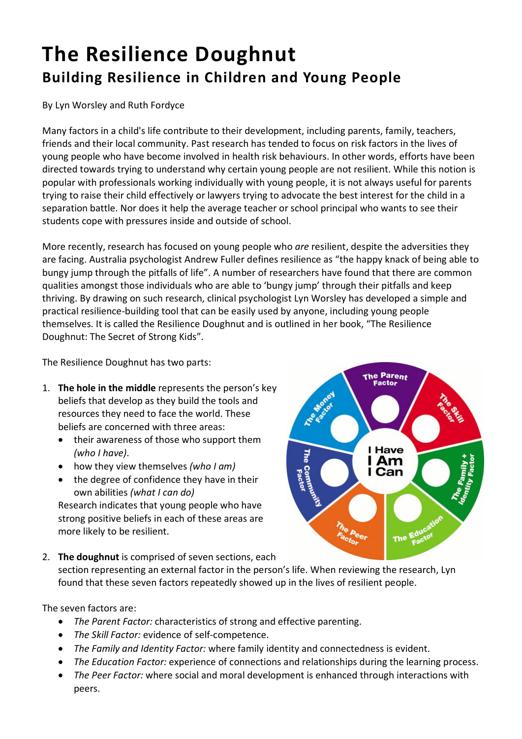## **The Resilience Doughnut Building Resilience in Children and Young People**

By Lyn Worsley and Ruth Fordyce

Many factors in a child's life contribute to their development, including parents, family, teachers, friends and their local community. Past research has tended to focus on risk factors in the lives of young people who have become involved in health risk behaviours. In other words, efforts have been directed towards trying to understand why certain young people are not resilient. While this notion is popular with professionals working individually with young people, it is not always useful for parents trying to raise their child effectively or lawyers trying to advocate the best interest for the child in a separation battle. Nor does it help the average teacher or school principal who wants to see their students cope with pressures inside and outside of school.

More recently, research has focused on young people who *are* resilient, despite the adversities they are facing. Australia psychologist Andrew Fuller defines resilience as "the happy knack of being able to bungy jump through the pitfalls of life". A number of researchers have found that there are common qualities amongst those individuals who are able to 'bungy jump' through their pitfalls and keep thriving. By drawing on such research, clinical psychologist Lyn Worsley has developed a simple and practical resilience-building tool that can be easily used by anyone, including young people themselves. It is called the Resilience Doughnut and is outlined in her book, "The Resilience Doughnut: The Secret of Strong Kids".

The Resilience Doughnut has two parts:

- 1. **The hole in the middle** represents the person's key beliefs that develop as they build the tools and resources they need to face the world. These beliefs are concerned with three areas:
	- their awareness of those who support them *(who I have)*.
	- how they view themselves *(who I am)*
	- the degree of confidence they have in their own abilities *(what I can do)*

Research indicates that young people who have strong positive beliefs in each of these areas are more likely to be resilient.



2. **The doughnut** is comprised of seven sections, each

section representing an external factor in the person's life. When reviewing the research, Lyn found that these seven factors repeatedly showed up in the lives of resilient people.

The seven factors are:

- *The Parent Factor:* characteristics of strong and effective parenting.
- *The Skill Factor:* evidence of self-competence.
- *The Family and Identity Factor:* where family identity and connectedness is evident.
- *The Education Factor:* experience of connections and relationships during the learning process.
- *The Peer Factor:* where social and moral development is enhanced through interactions with peers.